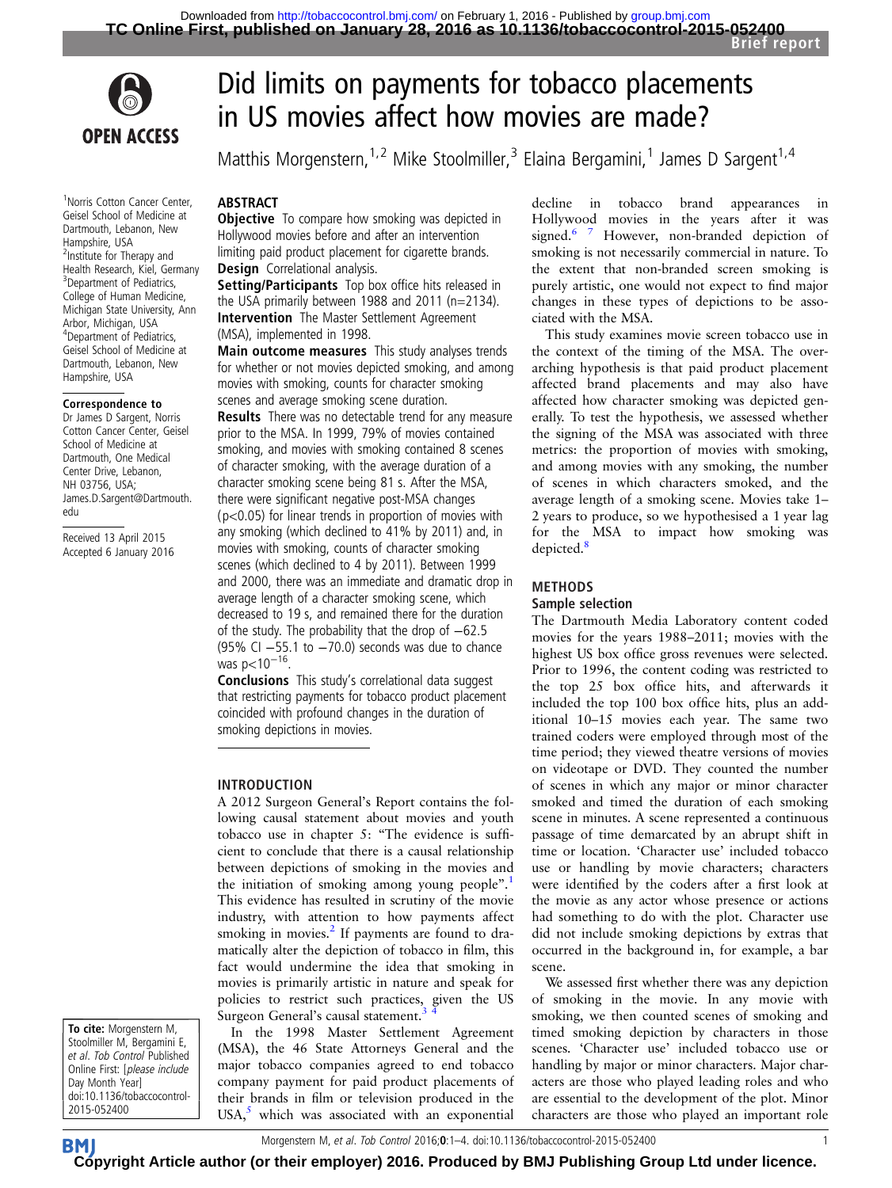

1 Norris Cotton Cancer Center, Geisel School of Medicine at Dartmouth, Lebanon, New Hampshire, USA <sup>2</sup>Institute for Therapy and Health Research, Kiel, Germany <sup>3</sup> Department of Pediatrics, College of Human Medicine, Michigan State University, Ann Arbor, Michigan, USA 4 Department of Pediatrics, Geisel School of Medicine at Dartmouth, Lebanon, New Hampshire, USA

#### Correspondence to

Dr James D Sargent, Norris Cotton Cancer Center, Geisel School of Medicine at Dartmouth, One Medical Center Drive, Lebanon, NH 03756, USA; James.D.Sargent@Dartmouth. edu

Received 13 April 2015 Accepted 6 January 2016

# Did limits on payments for tobacco placements in US movies affect how movies are made?

Matthis Morgenstern,<sup>1,2</sup> Mike Stoolmiller,<sup>3</sup> Elaina Bergamini,<sup>1</sup> James D Sargent<sup>1,4</sup>

# **ABSTRACT**

**Objective** To compare how smoking was depicted in Hollywood movies before and after an intervention limiting paid product placement for cigarette brands. Design Correlational analysis.

Setting/Participants Top box office hits released in the USA primarily between 1988 and 2011 (n=2134). Intervention The Master Settlement Agreement (MSA), implemented in 1998.

Main outcome measures This study analyses trends for whether or not movies depicted smoking, and among movies with smoking, counts for character smoking scenes and average smoking scene duration. **Results** There was no detectable trend for any measure prior to the MSA. In 1999, 79% of movies contained smoking, and movies with smoking contained 8 scenes of character smoking, with the average duration of a character smoking scene being 81 s. After the MSA, there were significant negative post-MSA changes (p<0.05) for linear trends in proportion of movies with any smoking (which declined to 41% by 2011) and, in movies with smoking, counts of character smoking scenes (which declined to 4 by 2011). Between 1999 and 2000, there was an immediate and dramatic drop in average length of a character smoking scene, which decreased to 19 s, and remained there for the duration of the study. The probability that the drop of −62.5 (95% CI −55.1 to −70.0) seconds was due to chance was p<10<sup>-16</sup>.

Conclusions This study's correlational data suggest that restricting payments for tobacco product placement coincided with profound changes in the duration of smoking depictions in movies.

# INTRODUCTION

A 2012 Surgeon General's Report contains the following causal statement about movies and youth tobacco use in chapter 5: "The evidence is sufficient to conclude that there is a causal relationship between depictions of smoking in the movies and the initiation of smoking among young people".<sup>[1](#page-3-0)</sup> This evidence has resulted in scrutiny of the movie industry, with attention to how payments affect smoking in movies. $^{2}$  $^{2}$  $^{2}$  If payments are found to dramatically alter the depiction of tobacco in film, this fact would undermine the idea that smoking in movies is primarily artistic in nature and speak for policies to restrict such practices, given the US Surgeon General's causal statement.

In the 1998 Master Settlement Agreement (MSA), the 46 State Attorneys General and the major tobacco companies agreed to end tobacco company payment for paid product placements of their brands in film or television produced in the USA, $5$  which was associated with an exponential

decline in tobacco brand appearances in Hollywood movies in the years after it was signed.<sup>[6 7](#page-3-0)</sup> However, non-branded depiction of smoking is not necessarily commercial in nature. To the extent that non-branded screen smoking is purely artistic, one would not expect to find major changes in these types of depictions to be associated with the MSA.

This study examines movie screen tobacco use in the context of the timing of the MSA. The overarching hypothesis is that paid product placement affected brand placements and may also have affected how character smoking was depicted generally. To test the hypothesis, we assessed whether the signing of the MSA was associated with three metrics: the proportion of movies with smoking, and among movies with any smoking, the number of scenes in which characters smoked, and the average length of a smoking scene. Movies take 1– 2 years to produce, so we hypothesised a 1 year lag for the MSA to impact how smoking was depicted.<sup>8</sup>

### METHODS

# Sample selection

The Dartmouth Media Laboratory content coded movies for the years 1988–2011; movies with the highest US box office gross revenues were selected. Prior to 1996, the content coding was restricted to the top 25 box office hits, and afterwards it included the top 100 box office hits, plus an additional 10–15 movies each year. The same two trained coders were employed through most of the time period; they viewed theatre versions of movies on videotape or DVD. They counted the number of scenes in which any major or minor character smoked and timed the duration of each smoking scene in minutes. A scene represented a continuous passage of time demarcated by an abrupt shift in time or location. 'Character use' included tobacco use or handling by movie characters; characters were identified by the coders after a first look at the movie as any actor whose presence or actions had something to do with the plot. Character use did not include smoking depictions by extras that occurred in the background in, for example, a bar scene.

We assessed first whether there was any depiction of smoking in the movie. In any movie with smoking, we then counted scenes of smoking and timed smoking depiction by characters in those scenes. 'Character use' included tobacco use or handling by major or minor characters. Major characters are those who played leading roles and who are essential to the development of the plot. Minor characters are those who played an important role

To cite: Morgenstern M, Stoolmiller M, Bergamini E, et al. Tob Control Published Online First: [please include Day Month Year] doi:10.1136/tobaccocontrol-2015-052400

Morgenstern M, et al. Tob Control 2016;0:1-4. doi:10.1136/tobaccocontrol-2015-052400

**BM [Cop](http://tobaccocontrol.bmj.com)yright Article author (or their employer) 2016. Produced by BMJ Publishing Group Ltd under licence.**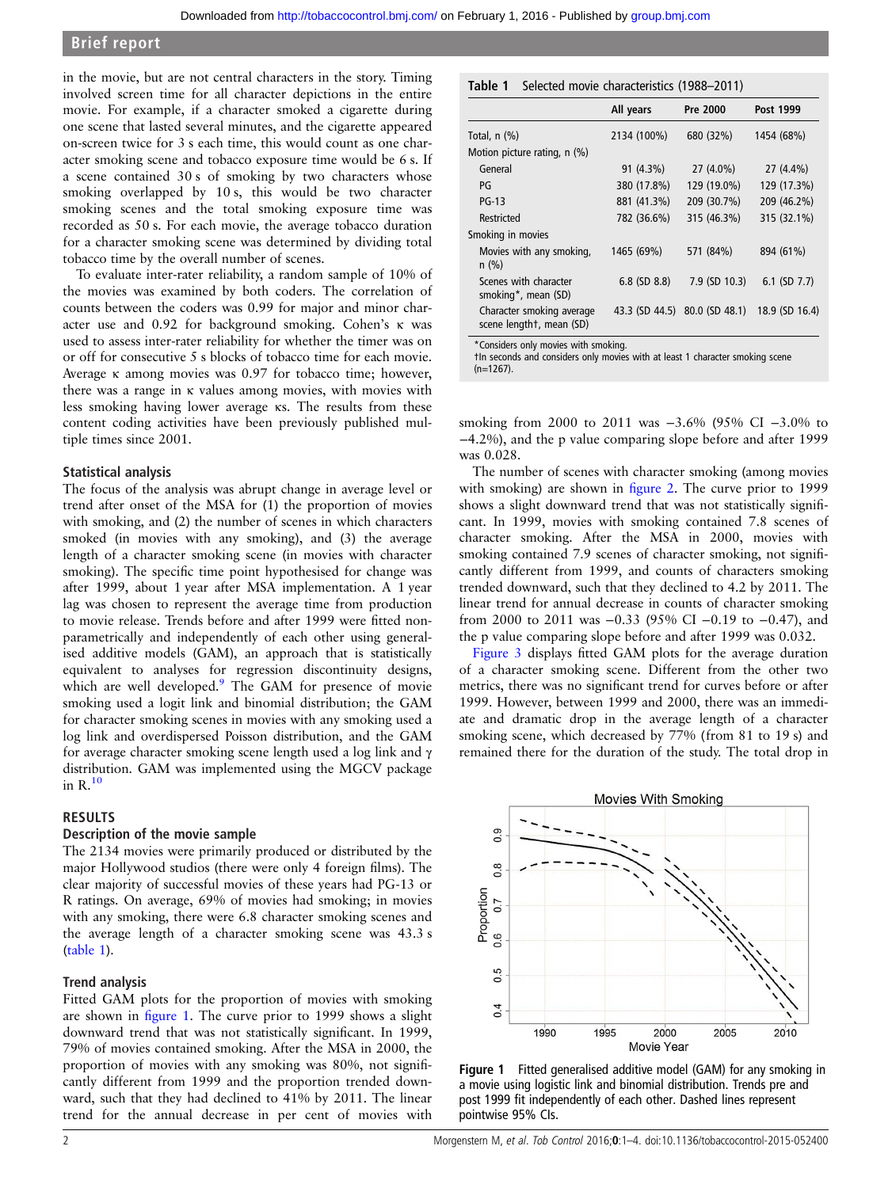in the movie, but are not central characters in the story. Timing involved screen time for all character depictions in the entire movie. For example, if a character smoked a cigarette during one scene that lasted several minutes, and the cigarette appeared on-screen twice for 3 s each time, this would count as one character smoking scene and tobacco exposure time would be 6 s. If a scene contained 30 s of smoking by two characters whose smoking overlapped by 10 s, this would be two character smoking scenes and the total smoking exposure time was recorded as 50 s. For each movie, the average tobacco duration for a character smoking scene was determined by dividing total tobacco time by the overall number of scenes.

To evaluate inter-rater reliability, a random sample of 10% of the movies was examined by both coders. The correlation of counts between the coders was 0.99 for major and minor character use and 0.92 for background smoking. Cohen's κ was used to assess inter-rater reliability for whether the timer was on or off for consecutive 5 s blocks of tobacco time for each movie. Average κ among movies was 0.97 for tobacco time; however, there was a range in κ values among movies, with movies with less smoking having lower average κs. The results from these content coding activities have been previously published multiple times since 2001.

# Statistical analysis

The focus of the analysis was abrupt change in average level or trend after onset of the MSA for (1) the proportion of movies with smoking, and (2) the number of scenes in which characters smoked (in movies with any smoking), and (3) the average length of a character smoking scene (in movies with character smoking). The specific time point hypothesised for change was after 1999, about 1 year after MSA implementation. A 1 year lag was chosen to represent the average time from production to movie release. Trends before and after 1999 were fitted nonparametrically and independently of each other using generalised additive models (GAM), an approach that is statistically equivalent to analyses for regression discontinuity designs, which are well developed.<sup>9</sup> The GAM for presence of movie smoking used a logit link and binomial distribution; the GAM for character smoking scenes in movies with any smoking used a log link and overdispersed Poisson distribution, and the GAM for average character smoking scene length used a log link and γ distribution. GAM was implemented using the MGCV package in  $R<sup>10</sup>$  $R<sup>10</sup>$  $R<sup>10</sup>$ 

#### RESULTS

#### Description of the movie sample

The 2134 movies were primarily produced or distributed by the major Hollywood studios (there were only 4 foreign films). The clear majority of successful movies of these years had PG-13 or R ratings. On average, 69% of movies had smoking; in movies with any smoking, there were 6.8 character smoking scenes and the average length of a character smoking scene was 43.3 s (table 1).

#### Trend analysis

Fitted GAM plots for the proportion of movies with smoking are shown in figure 1. The curve prior to 1999 shows a slight downward trend that was not statistically significant. In 1999, 79% of movies contained smoking. After the MSA in 2000, the proportion of movies with any smoking was 80%, not significantly different from 1999 and the proportion trended downward, such that they had declined to 41% by 2011. The linear trend for the annual decrease in per cent of movies with

|                                                       | All years         | Pre 2000                      | Post 1999         |
|-------------------------------------------------------|-------------------|-------------------------------|-------------------|
| Total, $n$ $(\%)$                                     | 2134 (100%)       | 680 (32%)                     | 1454 (68%)        |
| Motion picture rating, n (%)                          |                   |                               |                   |
| General                                               | 91 (4.3%)         | 27 (4.0%)                     | 27 (4.4%)         |
| PG                                                    | 380 (17.8%)       | 129 (19.0%)                   | 129 (17.3%)       |
| $PG-13$                                               | 881 (41.3%)       | 209 (30.7%)                   | 209 (46.2%)       |
| Restricted                                            | 782 (36.6%)       | 315 (46.3%)                   | 315 (32.1%)       |
| Smoking in movies                                     |                   |                               |                   |
| Movies with any smoking,<br>$n$ (%)                   | 1465 (69%)        | 571 (84%)                     | 894 (61%)         |
| Scenes with character<br>smoking*, mean (SD)          | $6.8$ (SD $8.8$ ) | 7.9 (SD 10.3)                 | $6.1$ (SD $7.7$ ) |
| Character smoking average<br>scene lengtht, mean (SD) |                   | 43.3 (SD 44.5) 80.0 (SD 48.1) | 18.9 (SD 16.4)    |

\*Considers only movies with smoking.

†In seconds and considers only movies with at least 1 character smoking scene  $(n=1267)$ .

smoking from 2000 to 2011 was -3.6% (95% CI -3.0% to −4.2%), and the p value comparing slope before and after 1999 was 0.028.

The number of scenes with character smoking (among movies with smoking) are shown in fi[gure 2](#page-2-0). The curve prior to 1999 shows a slight downward trend that was not statistically significant. In 1999, movies with smoking contained 7.8 scenes of character smoking. After the MSA in 2000, movies with smoking contained 7.9 scenes of character smoking, not significantly different from 1999, and counts of characters smoking trended downward, such that they declined to 4.2 by 2011. The linear trend for annual decrease in counts of character smoking from 2000 to 2011 was −0.33 (95% CI −0.19 to −0.47), and the p value comparing slope before and after 1999 was 0.032.

[Figure 3](#page-2-0) displays fitted GAM plots for the average duration of a character smoking scene. Different from the other two metrics, there was no significant trend for curves before or after 1999. However, between 1999 and 2000, there was an immediate and dramatic drop in the average length of a character smoking scene, which decreased by 77% (from 81 to 19 s) and remained there for the duration of the study. The total drop in



Figure 1 Fitted generalised additive model (GAM) for any smoking in a movie using logistic link and binomial distribution. Trends pre and post 1999 fit independently of each other. Dashed lines represent pointwise 95% CIs.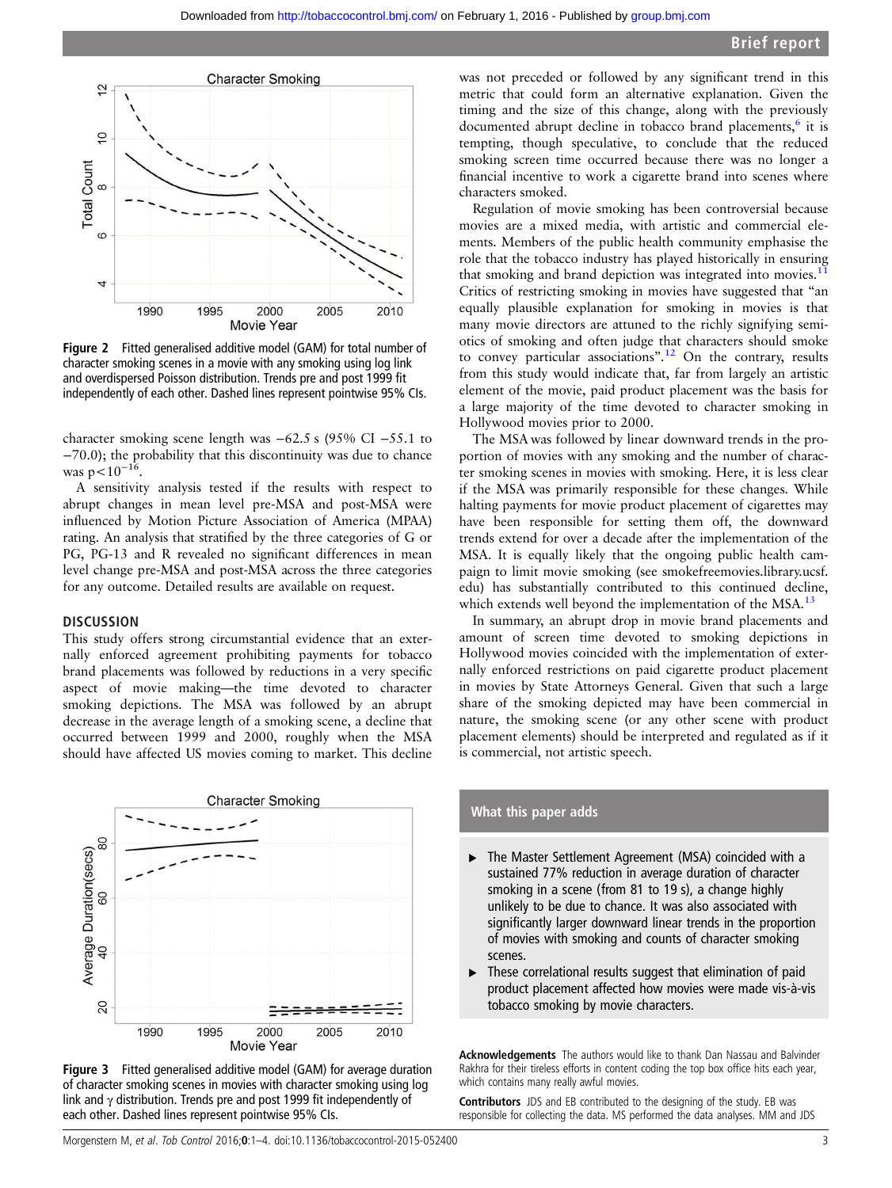<span id="page-2-0"></span>

Figure 2 Fitted generalised additive model (GAM) for total number of character smoking scenes in a movie with any smoking using log link and overdispersed Poisson distribution. Trends pre and post 1999 fit independently of each other. Dashed lines represent pointwise 95% CIs.

character smoking scene length was −62.5 s (95% CI −55.1 to −70.0); the probability that this discontinuity was due to chance was  $p < 10^{-16}$ .

A sensitivity analysis tested if the results with respect to abrupt changes in mean level pre-MSA and post-MSA were influenced by Motion Picture Association of America (MPAA) rating. An analysis that stratified by the three categories of G or PG, PG-13 and R revealed no significant differences in mean level change pre-MSA and post-MSA across the three categories for any outcome. Detailed results are available on request.

# **DISCUSSION**

This study offers strong circumstantial evidence that an externally enforced agreement prohibiting payments for tobacco brand placements was followed by reductions in a very specific aspect of movie making—the time devoted to character smoking depictions. The MSA was followed by an abrupt decrease in the average length of a smoking scene, a decline that occurred between 1999 and 2000, roughly when the MSA should have affected US movies coming to market. This decline





was not preceded or followed by any significant trend in this metric that could form an alternative explanation. Given the timing and the size of this change, along with the previously documented abrupt decline in tobacco brand placements,<sup>[6](#page-3-0)</sup> it is tempting, though speculative, to conclude that the reduced smoking screen time occurred because there was no longer a financial incentive to work a cigarette brand into scenes where characters smoked.

Regulation of movie smoking has been controversial because movies are a mixed media, with artistic and commercial elements. Members of the public health community emphasise the role that the tobacco industry has played historically in ensuring that smoking and brand depiction was integrated into movies. $11$ Critics of restricting smoking in movies have suggested that "an equally plausible explanation for smoking in movies is that many movie directors are attuned to the richly signifying semiotics of smoking and often judge that characters should smoke to convey particular associations".<sup>[12](#page-3-0)</sup> On the contrary, results from this study would indicate that, far from largely an artistic element of the movie, paid product placement was the basis for a large majority of the time devoted to character smoking in Hollywood movies prior to 2000.

The MSA was followed by linear downward trends in the proportion of movies with any smoking and the number of character smoking scenes in movies with smoking. Here, it is less clear if the MSA was primarily responsible for these changes. While halting payments for movie product placement of cigarettes may have been responsible for setting them off, the downward trends extend for over a decade after the implementation of the MSA. It is equally likely that the ongoing public health campaign to limit movie smoking (see [smokefreemovies.library.ucsf.](smokefreemovies.library.ucsf.edu) [edu\)](smokefreemovies.library.ucsf.edu) has substantially contributed to this continued decline, which extends well beyond the implementation of the MSA.<sup>[13](#page-3-0)</sup>

In summary, an abrupt drop in movie brand placements and amount of screen time devoted to smoking depictions in Hollywood movies coincided with the implementation of externally enforced restrictions on paid cigarette product placement in movies by State Attorneys General. Given that such a large share of the smoking depicted may have been commercial in nature, the smoking scene (or any other scene with product placement elements) should be interpreted and regulated as if it is commercial, not artistic speech.

# What this paper adds

- ▸ The Master Settlement Agreement (MSA) coincided with a sustained 77% reduction in average duration of character smoking in a scene (from 81 to 19 s), a change highly unlikely to be due to chance. It was also associated with significantly larger downward linear trends in the proportion of movies with smoking and counts of character smoking scenes.
- ▸ These correlational results suggest that elimination of paid product placement affected how movies were made vis-à-vis tobacco smoking by movie characters.

Acknowledgements The authors would like to thank Dan Nassau and Balvinder Rakhra for their tireless efforts in content coding the top box office hits each year, which contains many really awful movies.

Contributors JDS and EB contributed to the designing of the study. EB was responsible for collecting the data. MS performed the data analyses. MM and JDS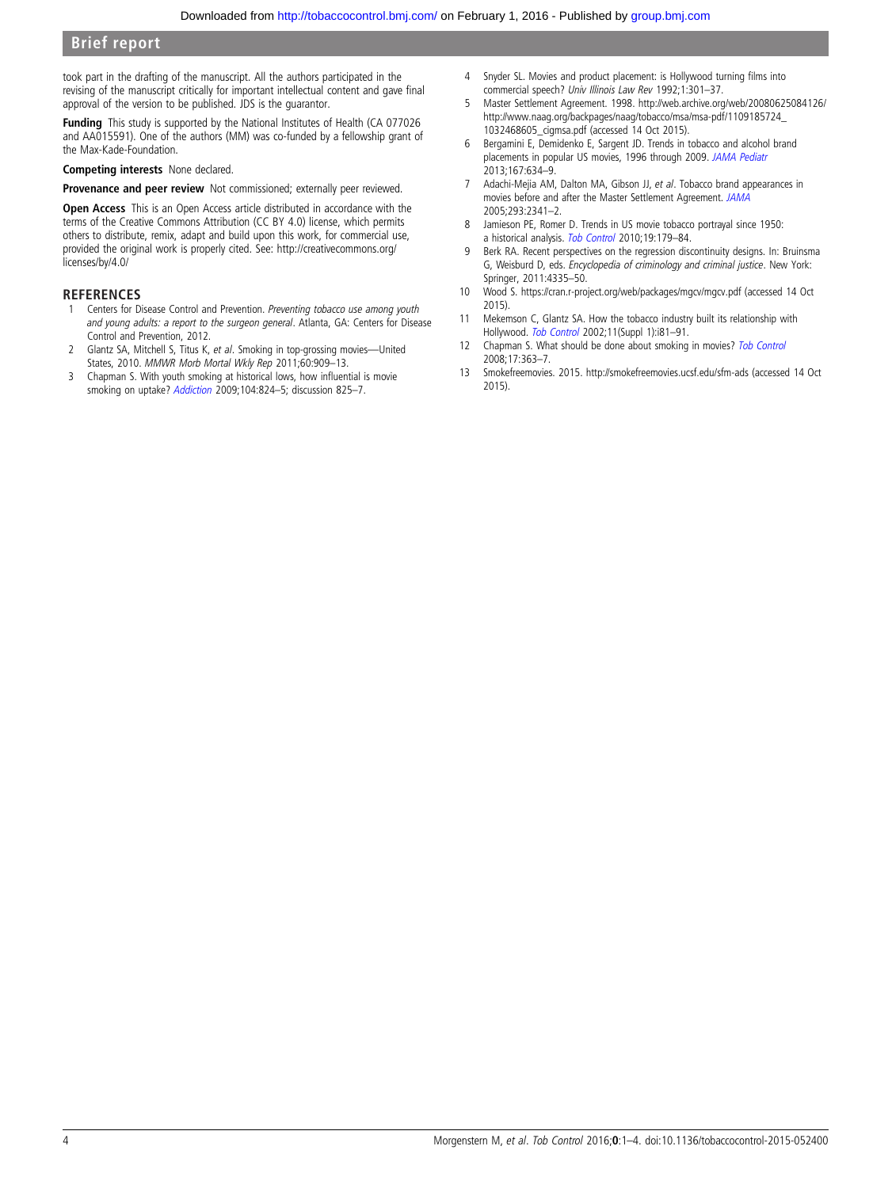# <span id="page-3-0"></span>Brief report

took part in the drafting of the manuscript. All the authors participated in the revising of the manuscript critically for important intellectual content and gave final approval of the version to be published. JDS is the guarantor.

**Funding** This study is supported by the National Institutes of Health (CA 077026) and AA015591). One of the authors (MM) was co-funded by a fellowship grant of the Max-Kade-Foundation.

Competing interests None declared.

Provenance and peer review Not commissioned; externally peer reviewed.

Open Access This is an Open Access article distributed in accordance with the terms of the Creative Commons Attribution (CC BY 4.0) license, which permits others to distribute, remix, adapt and build upon this work, for commercial use, provided the original work is properly cited. See: [http://creativecommons.org/](http://creativecommons.org/licenses/by/4.0/) [licenses/by/4.0/](http://creativecommons.org/licenses/by/4.0/)

#### **REFERENCES**

- Centers for Disease Control and Prevention. Preventing tobacco use among youth and young adults: a report to the surgeon general. Atlanta, GA: Centers for Disease Control and Prevention, 2012.
- 2 Glantz SA, Mitchell S, Titus K, et al. Smoking in top-grossing movies—United States, 2010. MMWR Morb Mortal Wkly Rep 2011;60:909–13.
- 3 Chapman S. With youth smoking at historical lows, how influential is movie smoking on uptake? [Addiction](http://dx.doi.org/10.1111/j.1360-0443.2009.02568.x) 2009;104:824–5; discussion 825–7.
- 4 Snyder SL. Movies and product placement: is Hollywood turning films into commercial speech? Univ Illinois Law Rev 1992;1:301–37.
- 5 Master Settlement Agreement. 1998. [http://web.archive.org/web/20080625084126/](http://web.archive.org/web/20080625084126/http://www.naag.org/backpages/naag/tobacco/msa/msa-pdf/1109185724_1032468605_cigmsa.pdf) [http://www.naag.org/backpages/naag/tobacco/msa/msa-pdf/1109185724\\_](http://web.archive.org/web/20080625084126/http://www.naag.org/backpages/naag/tobacco/msa/msa-pdf/1109185724_1032468605_cigmsa.pdf) [1032468605\\_cigmsa.pdf](http://web.archive.org/web/20080625084126/http://www.naag.org/backpages/naag/tobacco/msa/msa-pdf/1109185724_1032468605_cigmsa.pdf) (accessed 14 Oct 2015).
- 6 Bergamini E, Demidenko E, Sargent JD. Trends in tobacco and alcohol brand placements in popular US movies, 1996 through 2009. [JAMA Pediatr](http://dx.doi.org/10.1001/jamapediatrics.2013.393) 2013;167:634–9.
- 7 Adachi-Mejia AM, Dalton MA, Gibson JJ, et al. Tobacco brand appearances in movies before and after the Master Settlement Agreement. [JAMA](http://dx.doi.org/10.1001/jama.293.19.2341) 2005;293:2341–2.
- 8 Jamieson PE, Romer D. Trends in US movie tobacco portrayal since 1950: a historical analysis. [Tob Control](http://dx.doi.org/10.1136/tc.2009.034736) 2010;19:179-84.
- 9 Berk RA. Recent perspectives on the regression discontinuity designs. In: Bruinsma G, Weisburd D, eds. Encyclopedia of criminology and criminal justice. New York: Springer, 2011:4335–50.
- 10 Wood S.<https://cran.r-project.org/web/packages/mgcv/mgcv.pdf> (accessed 14 Oct 2015).
- 11 Mekemson C, Glantz SA. How the tobacco industry built its relationship with Hollywood. [Tob Control](http://dx.doi.org/10.1136/tc.11.suppl_1.i81) 2002;11(Suppl 1):i81–91.
- 12 Chapman S. What should be done about smoking in movies? [Tob Control](http://dx.doi.org/10.1136/tc.2008.027557) 2008;17:363–7.
- 13 Smokefreemovies. 2015.<http://smokefreemovies.ucsf.edu/sfm-ads> (accessed 14 Oct 2015).